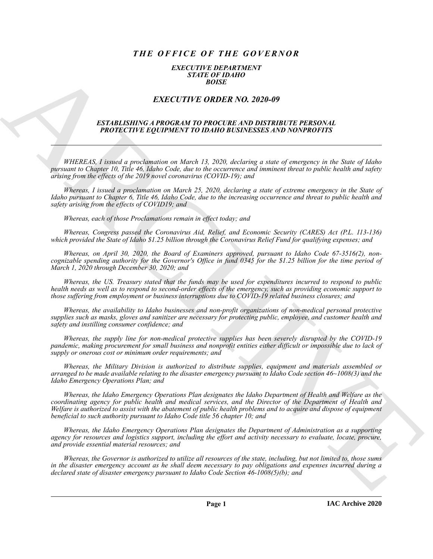# *THE OFFICE OF THE GOVERNOR*

#### *EXECUTIVE DEPARTMENT STATE OF IDAHO BOISE*

## *EXECUTIVE ORDER NO. 2020-09*

#### *ESTABLISHING A PROGRAM TO PROCURE AND DISTRIBUTE PERSONAL PROTECTIVE EQUIPMENT TO IDAHO BUSINESSES AND NONPROFITS*

*WHEREAS, I issued a proclamation on March 13, 2020, declaring a state of emergency in the State of Idaho pursuant to Chapter 10, Title 46, Idaho Code, due to the occurrence and imminent threat to public health and safety arising from the effects of the 2019 novel coronavirus (COVID-19); and*

*Whereas, I issued a proclamation on March 25, 2020, declaring a state of extreme emergency in the State of Idaho pursuant to Chapter 6, Title 46, Idaho Code, due to the increasing occurrence and threat to public health and safety arising from the effects of COVID19; and*

*Whereas, each of those Proclamations remain in effect today; and*

*Whereas, Congress passed the Coronavirus Aid, Relief, and Economic Security (CARES) Act (P.L. 113-136) which provided the State of Idaho \$1.25 billion through the Coronavirus Relief Fund for qualifying expenses; and*

*Whereas, on April 30, 2020, the Board of Examiners approved, pursuant to Idaho Code 67-3516(2), noncognizable spending authority for the Governor's Office in fund 0345 for the \$1.25 billion for the time period of March 1, 2020 through December 30, 2020; and*

*Whereas, the US. Treasury stated that the funds may be used for expenditures incurred to respond to public health needs as well as to respond to second-order effects of the emergency, such as providing economic support to those suffering from employment or business interruptions due to COVID-19 related business closures; and*

*Whereas, the availability to Idaho businesses and non-profit organizations of non-medical personal protective supplies such as masks, gloves and sanitizer are necessary for protecting public, employee, and customer health and safety and instilling consumer confidence; and*

*Whereas, the supply line for non-medical protective supplies has been severely disrupted by the COVID-19 pandemic, making procurement for small business and nonprofit entities either difficult or impossible due to lack of supply or onerous cost or minimum order requirements; and*

*Whereas, the Military Division is authorized to distribute supplies, equipment and materials assembled or arranged to be made available relating to the disaster emergency pursuant to Idaho Code section 46~1008(3) and the Idaho Emergency Operations Plan; and*

**EXACTLY THE ORDER NO. 2020-09**<br>
EXACTLY THE ORDER NO. 2020-09<br>
EXACTLY THE ORDER NO. 2020-09<br>
EXACTLY THE ORDER NO. 2020-09<br>
FRAMEWORTH CONTENTS TO INSTANCE AT COLUMN INTERPRETAINT CHERONY IS the state of the state of th *Whereas, the Idaho Emergency Operations Plan designates the Idaho Department of Health and Welfare as the coordinating agency for public health and medical services, and the Director of the Department of Health and Welfare is authorized to assist with the abatement of public health problems and to acquire and dispose of equipment beneficial to such authority pursuant to Idaho Code title 56 chapter 10; and*

*Whereas, the Idaho Emergency Operations Plan designates the Department of Administration as a supporting agency for resources and logistics support, including the effort and activity necessary to evaluate, locate, procure, and provide essential material resources; and*

*Whereas, the Governor is authorized to utilize all resources of the state, including, but not limited to, those sums in the disaster emergency account as he shall deem necessary to pay obligations and expenses incurred during a declared state of disaster emergency pursuant to Idaho Code Section 46-1008(5)(b); and*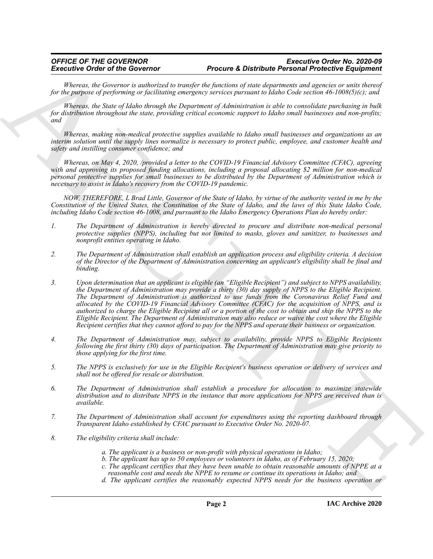### *OFFICE OF THE GOVERNOR Executive Order No. 2020-09* **Procure & Distribute Personal Protective Equipment**

*Whereas, the Governor is authorized to transfer the functions of state departments and agencies or units thereof for the purpose of performing or facilitating emergency services pursuant to Idaho Code section 46-1008(5)(c); and*

*Whereas, the State of Idaho through the Department of Administration is able to consolidate purchasing in bulk for distribution throughout the state, providing critical economic support to Idaho small businesses and non-profits; and*

*Whereas, making non-medical protective supplies available to Idaho small businesses and organizations as an interim solution until the supply lines normalize is necessary to protect public, employee, and customer health and safety and instilling consumer confidence; and*

*Whereas, on May 4, 2020, /provided a letter to the COVID-19 Financial Advisory Committee (CFAC), agreeing with and approving its proposed funding allocations, including a proposal allocating \$2 million for non-medical personal protective supplies for small businesses to be distributed by the Department of Administration which is necessary to assist in Idaho's recovery from the COVID-19 pandemic.*

*NOW, THEREFORE, L Brad Little, Governor of the State of Idaho, by virtue of the authority vested in me by the Constitution of the United States, the Constitution of the State of Idaho, and the laws of this State Idaho Code, including Idaho Code section 46-1008, and pursuant to the Idaho Emergency Operations Plan do hereby order:*

- *1. The Department of Administration is hereby directed to procure and distribute non-medical personal protective supplies (NPPS), including but not limited to masks, gloves and sanitizer, to businesses and nonprofit entities operating in Idaho.*
- *2. The Department of Administration shall establish an application process and eligibility criteria. A decision of the Director of the Department of Administration concerning an applicant's eligibility shall be final and binding.*
- Economic del distribuito del metallo estado en Presidente Participa en la contrata en la contrata en la contrata en la contrata en la contrata en la contrata en la contrata en la contrata en la contrata en la contrata en *3. Upon determination that an applicant is eligible (an "Eligible Recipient") and subject to NPPS availability, the Department of Administration may provide a thirty (30) day supply of NPPS to the Eligible Recipient. The Department of Administration is authorized to use funds from the Coronavirus Relief Fund and allocated by the COVID-19 Financial Advisory Committee (CFAC) for the acquisition of NPPS, and is authorized to charge the Eligible Recipient all or a portion of the cost to obtain and ship the NPPS to the Eligible Recipient. The Department of Administration may also reduce or waive the cost where the Eligible Recipient certifies that they cannot afford to pay for the NPPS and operate their business or organization.*
	- *4. The Department of Administration may, subject to availability, provide NPPS to Eligible Recipients following the first thirty (30) days of participation. The Department of Administration may give priority to those applying for the first time.*
	- *5. The NPPS is exclusively for use in the Eligible Recipient's business operation or delivery of services and shall not be offered for resale or distribution.*
	- *6. The Department of Administration shall establish a procedure for allocation to maximize statewide distribution and to distribute NPPS in the instance that more applications for NPPS are received than is available.*
	- *7. The Department of Administration shall account for expenditures using the reporting dashboard through Transparent Idaho established by CFAC pursuant to Executive Order No. 2020-07.*
	- *8. The eligibility criteria shall include:*
		- *a. The applicant is a business or non-profit with physical operations in Idaho;*
		- *b. The applicant has up to 50 employees or volunteers in Idaho, as of February 15, 2020;*
		- *c. The applicant certifies that they have been unable to obtain reasonable amounts of NPPE at a reasonable cost and needs the NPPE to resume or continue its operations in Idaho; and*
		- *d. The applicant certifies the reasonably expected NPPS needs for the business operation or*